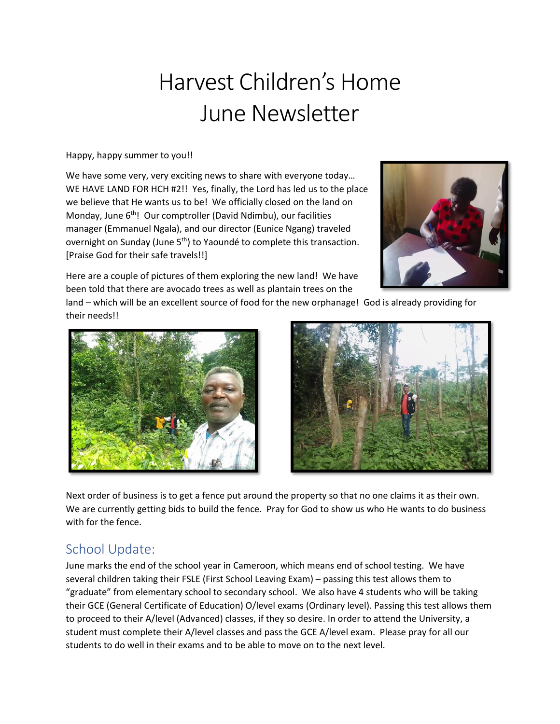# Harvest Children's Home June Newsletter

Happy, happy summer to you!!

We have some very, very exciting news to share with everyone today… WE HAVE LAND FOR HCH #2!! Yes, finally, the Lord has led us to the place we believe that He wants us to be! We officially closed on the land on Monday, June 6<sup>th</sup>! Our comptroller (David Ndimbu), our facilities manager (Emmanuel Ngala), and our director (Eunice Ngang) traveled overnight on Sunday (June 5<sup>th</sup>) to Yaoundé to complete this transaction. [Praise God for their safe travels!!]



Here are a couple of pictures of them exploring the new land! We have been told that there are avocado trees as well as plantain trees on the

land – which will be an excellent source of food for the new orphanage! God is already providing for their needs!!





Next order of business is to get a fence put around the property so that no one claims it as their own. We are currently getting bids to build the fence. Pray for God to show us who He wants to do business with for the fence.

## School Update:

June marks the end of the school year in Cameroon, which means end of school testing. We have several children taking their FSLE (First School Leaving Exam) – passing this test allows them to "graduate" from elementary school to secondary school. We also have 4 students who will be taking their GCE (General Certificate of Education) O/level exams (Ordinary level). Passing this test allows them to proceed to their A/level (Advanced) classes, if they so desire. In order to attend the University, a student must complete their A/level classes and pass the GCE A/level exam. Please pray for all our students to do well in their exams and to be able to move on to the next level.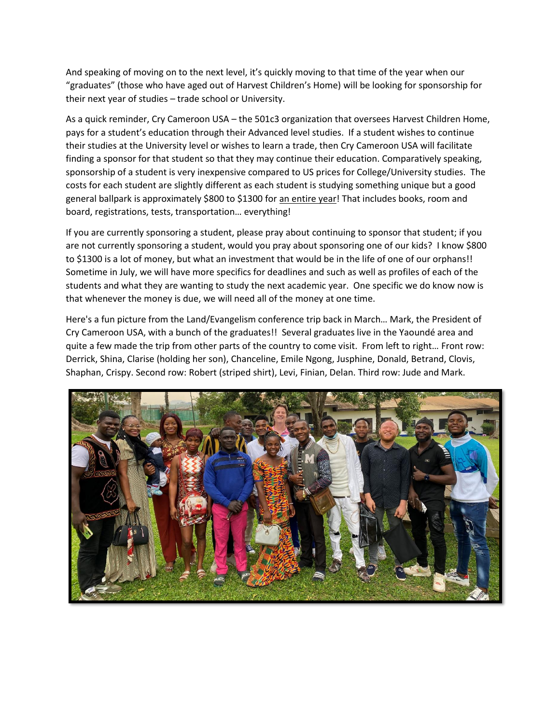And speaking of moving on to the next level, it's quickly moving to that time of the year when our "graduates" (those who have aged out of Harvest Children's Home) will be looking for sponsorship for their next year of studies – trade school or University.

As a quick reminder, Cry Cameroon USA – the 501c3 organization that oversees Harvest Children Home, pays for a student's education through their Advanced level studies. If a student wishes to continue their studies at the University level or wishes to learn a trade, then Cry Cameroon USA will facilitate finding a sponsor for that student so that they may continue their education. Comparatively speaking, sponsorship of a student is very inexpensive compared to US prices for College/University studies. The costs for each student are slightly different as each student is studying something unique but a good general ballpark is approximately \$800 to \$1300 for an entire year! That includes books, room and board, registrations, tests, transportation… everything!

If you are currently sponsoring a student, please pray about continuing to sponsor that student; if you are not currently sponsoring a student, would you pray about sponsoring one of our kids? I know \$800 to \$1300 is a lot of money, but what an investment that would be in the life of one of our orphans!! Sometime in July, we will have more specifics for deadlines and such as well as profiles of each of the students and what they are wanting to study the next academic year. One specific we do know now is that whenever the money is due, we will need all of the money at one time.

Here's a fun picture from the Land/Evangelism conference trip back in March… Mark, the President of Cry Cameroon USA, with a bunch of the graduates!! Several graduates live in the Yaoundé area and quite a few made the trip from other parts of the country to come visit. From left to right… Front row: Derrick, Shina, Clarise (holding her son), Chanceline, Emile Ngong, Jusphine, Donald, Betrand, Clovis, Shaphan, Crispy. Second row: Robert (striped shirt), Levi, Finian, Delan. Third row: Jude and Mark.